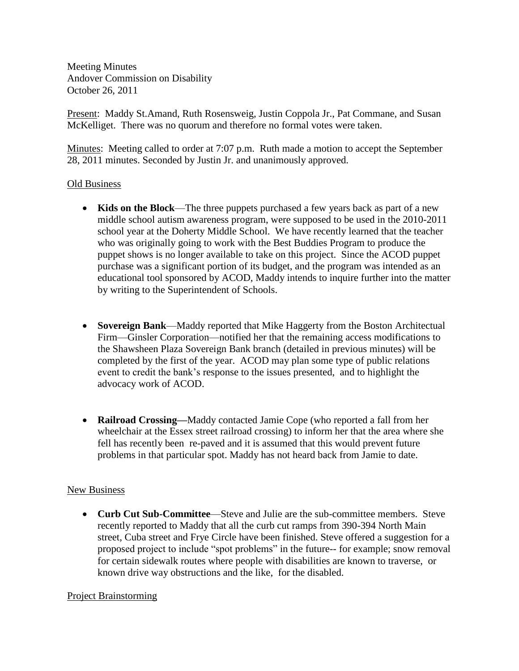Meeting Minutes Andover Commission on Disability October 26, 2011

Present: Maddy St.Amand, Ruth Rosensweig, Justin Coppola Jr., Pat Commane, and Susan McKelliget. There was no quorum and therefore no formal votes were taken.

Minutes: Meeting called to order at 7:07 p.m. Ruth made a motion to accept the September 28, 2011 minutes. Seconded by Justin Jr. and unanimously approved.

## Old Business

- **Kids on the Block**—The three puppets purchased a few years back as part of a new middle school autism awareness program, were supposed to be used in the 2010-2011 school year at the Doherty Middle School. We have recently learned that the teacher who was originally going to work with the Best Buddies Program to produce the puppet shows is no longer available to take on this project. Since the ACOD puppet purchase was a significant portion of its budget, and the program was intended as an educational tool sponsored by ACOD, Maddy intends to inquire further into the matter by writing to the Superintendent of Schools.
- **Sovereign Bank**—Maddy reported that Mike Haggerty from the Boston Architectual Firm—Ginsler Corporation—notified her that the remaining access modifications to the Shawsheen Plaza Sovereign Bank branch (detailed in previous minutes) will be completed by the first of the year. ACOD may plan some type of public relations event to credit the bank's response to the issues presented, and to highlight the advocacy work of ACOD.
- **Railroad Crossing—**Maddy contacted Jamie Cope (who reported a fall from her wheelchair at the Essex street railroad crossing) to inform her that the area where she fell has recently been re-paved and it is assumed that this would prevent future problems in that particular spot. Maddy has not heard back from Jamie to date.

## New Business

 **Curb Cut Sub-Committee**—Steve and Julie are the sub-committee members. Steve recently reported to Maddy that all the curb cut ramps from 390-394 North Main street, Cuba street and Frye Circle have been finished. Steve offered a suggestion for a proposed project to include "spot problems" in the future-- for example; snow removal for certain sidewalk routes where people with disabilities are known to traverse, or known drive way obstructions and the like, for the disabled.

## Project Brainstorming